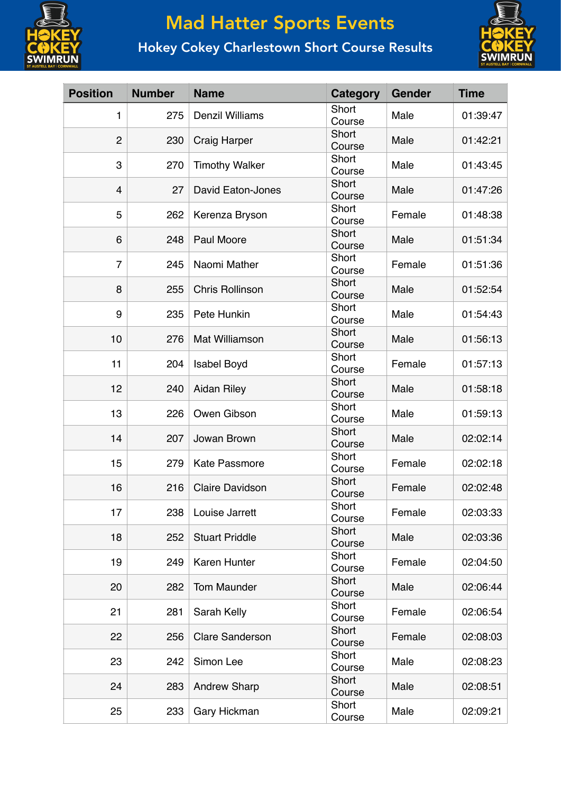

## Mad Hatter Sports Events

## Hokey Cokey Charlestown Short Course Results



| <b>Position</b> | <b>Number</b> | <b>Name</b>              | Category        | <b>Gender</b> | <b>Time</b> |
|-----------------|---------------|--------------------------|-----------------|---------------|-------------|
| 1               | 275           | <b>Denzil Williams</b>   | Short<br>Course | Male          | 01:39:47    |
| $\overline{2}$  | 230           | <b>Craig Harper</b>      | Short<br>Course | Male          | 01:42:21    |
| 3               | 270           | <b>Timothy Walker</b>    | Short<br>Course | Male          | 01:43:45    |
| 4               | 27            | <b>David Eaton-Jones</b> | Short<br>Course | Male          | 01:47:26    |
| 5               | 262           | Kerenza Bryson           | Short<br>Course | Female        | 01:48:38    |
| 6               | 248           | Paul Moore               | Short<br>Course | Male          | 01:51:34    |
| $\overline{7}$  | 245           | Naomi Mather             | Short<br>Course | Female        | 01:51:36    |
| 8               | 255           | <b>Chris Rollinson</b>   | Short<br>Course | Male          | 01:52:54    |
| 9               | 235           | Pete Hunkin              | Short<br>Course | Male          | 01:54:43    |
| 10              | 276           | <b>Mat Williamson</b>    | Short<br>Course | Male          | 01:56:13    |
| 11              | 204           | <b>Isabel Boyd</b>       | Short<br>Course | Female        | 01:57:13    |
| 12              | 240           | <b>Aidan Riley</b>       | Short<br>Course | Male          | 01:58:18    |
| 13              | 226           | Owen Gibson              | Short<br>Course | Male          | 01:59:13    |
| 14              | 207           | Jowan Brown              | Short<br>Course | Male          | 02:02:14    |
| 15              | 279           | <b>Kate Passmore</b>     | Short<br>Course | Female        | 02:02:18    |
| 16              | 216           | <b>Claire Davidson</b>   | Short<br>Course | Female        | 02:02:48    |
| 17              | 238           | Louise Jarrett           | Short<br>Course | Female        | 02:03:33    |
| 18              | 252           | <b>Stuart Priddle</b>    | Short<br>Course | Male          | 02:03:36    |
| 19              | 249           | Karen Hunter             | Short<br>Course | Female        | 02:04:50    |
| 20              | 282           | Tom Maunder              | Short<br>Course | Male          | 02:06:44    |
| 21              | 281           | Sarah Kelly              | Short<br>Course | Female        | 02:06:54    |
| 22              | 256           | <b>Clare Sanderson</b>   | Short<br>Course | Female        | 02:08:03    |
| 23              | 242           | Simon Lee                | Short<br>Course | Male          | 02:08:23    |
| 24              | 283           | <b>Andrew Sharp</b>      | Short<br>Course | Male          | 02:08:51    |
| 25              | 233           | Gary Hickman             | Short<br>Course | Male          | 02:09:21    |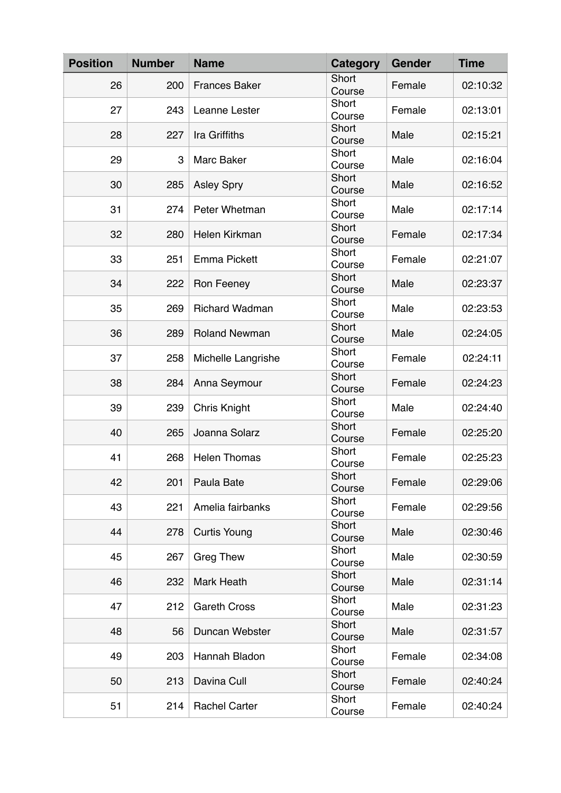| <b>Position</b> | <b>Number</b> | <b>Name</b>           | Category        | <b>Gender</b> | <b>Time</b> |
|-----------------|---------------|-----------------------|-----------------|---------------|-------------|
| 26              | 200           | <b>Frances Baker</b>  | Short<br>Course | Female        | 02:10:32    |
| 27              | 243           | Leanne Lester         | Short<br>Course | Female        | 02:13:01    |
| 28              | 227           | Ira Griffiths         | Short<br>Course | Male          | 02:15:21    |
| 29              | 3             | Marc Baker            | Short<br>Course | Male          | 02:16:04    |
| 30              | 285           | <b>Asley Spry</b>     | Short<br>Course | Male          | 02:16:52    |
| 31              | 274           | Peter Whetman         | Short<br>Course | Male          | 02:17:14    |
| 32              | 280           | Helen Kirkman         | Short<br>Course | Female        | 02:17:34    |
| 33              | 251           | <b>Emma Pickett</b>   | Short<br>Course | Female        | 02:21:07    |
| 34              | 222           | Ron Feeney            | Short<br>Course | Male          | 02:23:37    |
| 35              | 269           | <b>Richard Wadman</b> | Short<br>Course | Male          | 02:23:53    |
| 36              | 289           | <b>Roland Newman</b>  | Short<br>Course | Male          | 02:24:05    |
| 37              | 258           | Michelle Langrishe    | Short<br>Course | Female        | 02:24:11    |
| 38              | 284           | Anna Seymour          | Short<br>Course | Female        | 02:24:23    |
| 39              | 239           | <b>Chris Knight</b>   | Short<br>Course | Male          | 02:24:40    |
| 40              | 265           | Joanna Solarz         | Short<br>Course | Female        | 02:25:20    |
| 41              | 268           | <b>Helen Thomas</b>   | Short<br>Course | Female        | 02:25:23    |
| 42              | 201           | Paula Bate            | Short<br>Course | Female        | 02:29:06    |
| 43              | 221           | Amelia fairbanks      | Short<br>Course | Female        | 02:29:56    |
| 44              | 278           | <b>Curtis Young</b>   | Short<br>Course | Male          | 02:30:46    |
| 45              | 267           | <b>Greg Thew</b>      | Short<br>Course | Male          | 02:30:59    |
| 46              | 232           | Mark Heath            | Short<br>Course | Male          | 02:31:14    |
| 47              | 212           | <b>Gareth Cross</b>   | Short<br>Course | Male          | 02:31:23    |
| 48              | 56            | Duncan Webster        | Short<br>Course | Male          | 02:31:57    |
| 49              | 203           | Hannah Bladon         | Short<br>Course | Female        | 02:34:08    |
| 50              | 213           | Davina Cull           | Short<br>Course | Female        | 02:40:24    |
| 51              | 214           | <b>Rachel Carter</b>  | Short<br>Course | Female        | 02:40:24    |